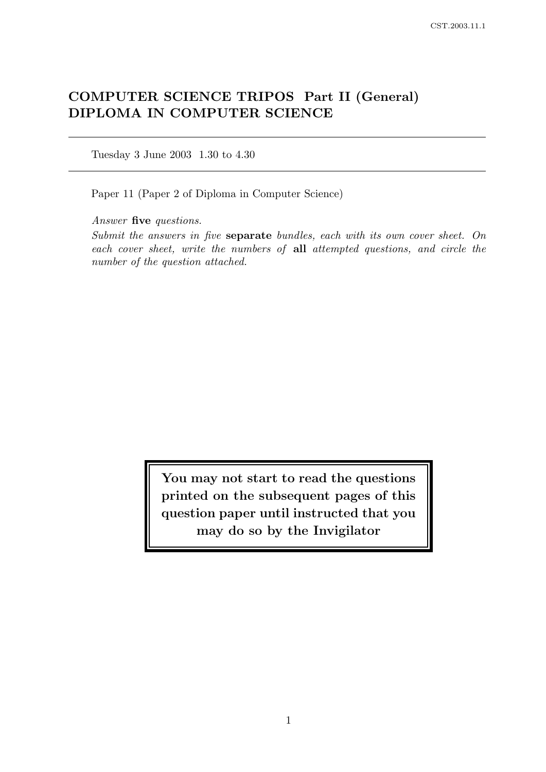# COMPUTER SCIENCE TRIPOS Part II (General) DIPLOMA IN COMPUTER SCIENCE

Tuesday 3 June 2003 1.30 to 4.30

Paper 11 (Paper 2 of Diploma in Computer Science)

Answer five questions.

Submit the answers in five separate bundles, each with its own cover sheet. On each cover sheet, write the numbers of all attempted questions, and circle the number of the question attached.

> You may not start to read the questions printed on the subsequent pages of this question paper until instructed that you may do so by the Invigilator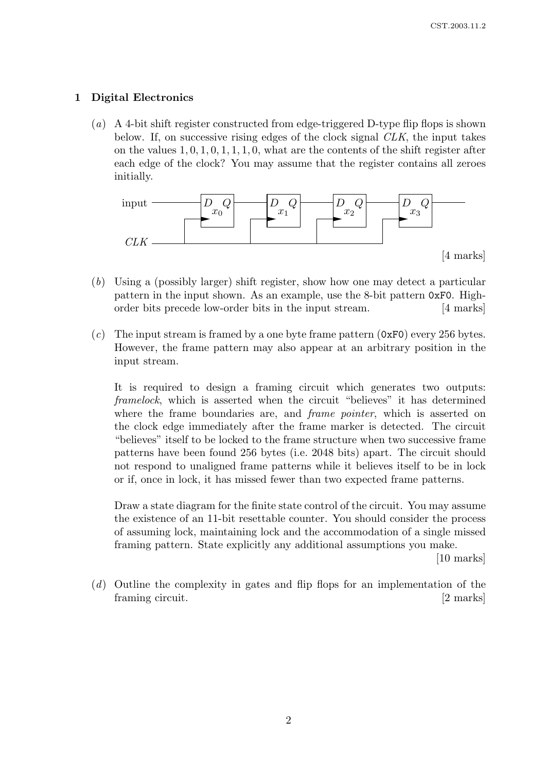# 1 Digital Electronics

(a) A 4-bit shift register constructed from edge-triggered D-type flip flops is shown below. If, on successive rising edges of the clock signal CLK, the input takes on the values  $1, 0, 1, 0, 1, 1, 1, 0$ , what are the contents of the shift register after each edge of the clock? You may assume that the register contains all zeroes initially.



- (b) Using a (possibly larger) shift register, show how one may detect a particular pattern in the input shown. As an example, use the 8-bit pattern 0xF0. Highorder bits precede low-order bits in the input stream. [4 marks]
- (c) The input stream is framed by a one byte frame pattern  $(0xF0)$  every 256 bytes. However, the frame pattern may also appear at an arbitrary position in the input stream.

It is required to design a framing circuit which generates two outputs: framelock, which is asserted when the circuit "believes" it has determined where the frame boundaries are, and *frame pointer*, which is asserted on the clock edge immediately after the frame marker is detected. The circuit "believes" itself to be locked to the frame structure when two successive frame patterns have been found 256 bytes (i.e. 2048 bits) apart. The circuit should not respond to unaligned frame patterns while it believes itself to be in lock or if, once in lock, it has missed fewer than two expected frame patterns.

Draw a state diagram for the finite state control of the circuit. You may assume the existence of an 11-bit resettable counter. You should consider the process of assuming lock, maintaining lock and the accommodation of a single missed framing pattern. State explicitly any additional assumptions you make.

[10 marks]

(d) Outline the complexity in gates and flip flops for an implementation of the framing circuit. [2 marks]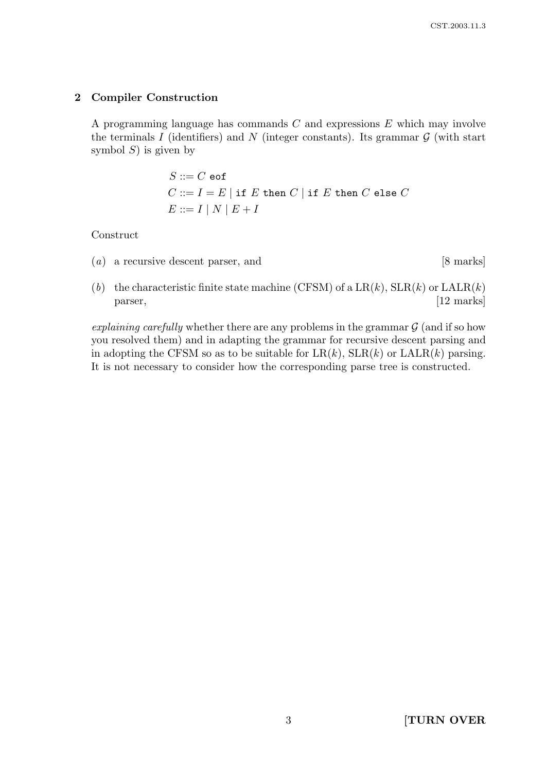# 2 Compiler Construction

A programming language has commands C and expressions E which may involve the terminals I (identifiers) and N (integer constants). Its grammar  $\mathcal G$  (with start symbol  $S$ ) is given by

$$
S ::= C \text{ eof}
$$
  

$$
C ::= I = E | \text{ if } E \text{ then } C | \text{ if } E \text{ then } C \text{ else } C
$$
  

$$
E ::= I | N | E + I
$$

Construct

 $(a)$  a recursive descent parser, and [8 marks]

(b) the characteristic finite state machine (CFSM) of a  $LR(k)$ ,  $SLR(k)$  or  $LALR(k)$ parser, [12 marks]

explaining carefully whether there are any problems in the grammar  $\mathcal G$  (and if so how you resolved them) and in adapting the grammar for recursive descent parsing and in adopting the CFSM so as to be suitable for  $LR(k)$ ,  $SLR(k)$  or  $LALR(k)$  parsing. It is not necessary to consider how the corresponding parse tree is constructed.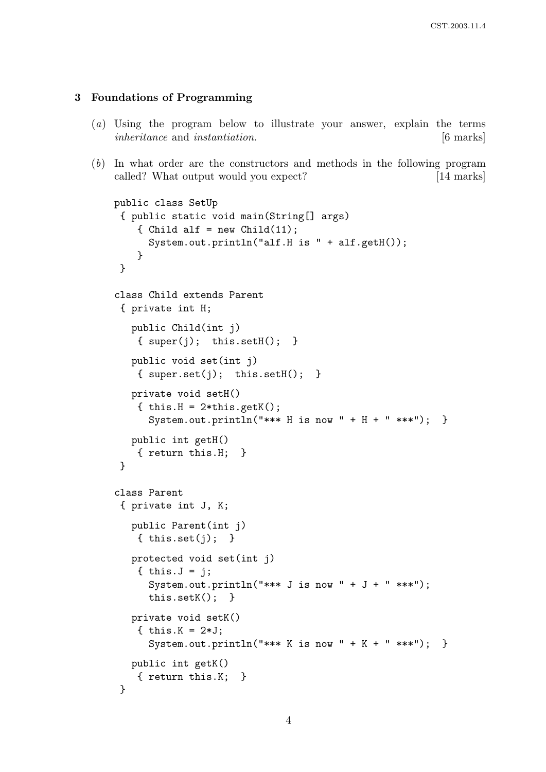## 3 Foundations of Programming

- (a) Using the program below to illustrate your answer, explain the terms inheritance and instantiation. [6 marks]
- (b) In what order are the constructors and methods in the following program called? What output would you expect? [14 marks]

```
public class SetUp
 { public static void main(String[] args)
    { Child alf = new Child(11);
      System.out.println("alf.H is " + alf.getH());
    }
 }
class Child extends Parent
 { private int H;
   public Child(int j)
    { super(j); this.setH(); }
   public void set(int j)
    { super.set(j); this.setH(); }
   private void setH()
    { this.H = 2*this.getK();
      System.out.println("*** H is now " + H + " ***"); }
   public int getH()
    { return this.H; }
 }
class Parent
 { private int J, K;
   public Parent(int j)
    { this.set(i); }
   protected void set(int j)
    \{ this. J = j;System.out.println("*** J is now " + J + " ***");
      this.setK(); }
   private void setK()
    { this.K = 2*J;
      System.out.println("*** K is now " + K + " ***"); }
   public int getK()
    { return this.K; }
 }
```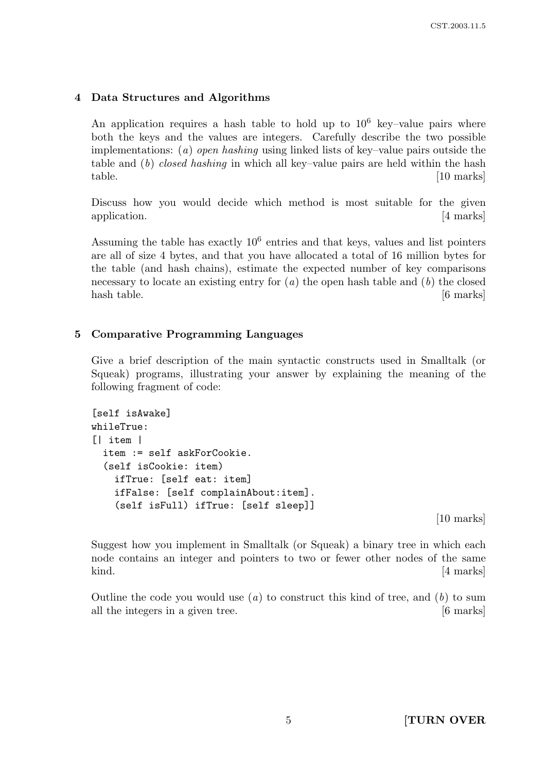# 4 Data Structures and Algorithms

An application requires a hash table to hold up to  $10^6$  key-value pairs where both the keys and the values are integers. Carefully describe the two possible implementations:  $(a)$  open hashing using linked lists of key–value pairs outside the table and  $(b)$  closed hashing in which all key–value pairs are held within the hash table. [10 marks]

Discuss how you would decide which method is most suitable for the given application. [4 marks]

Assuming the table has exactly 10<sup>6</sup> entries and that keys, values and list pointers are all of size 4 bytes, and that you have allocated a total of 16 million bytes for the table (and hash chains), estimate the expected number of key comparisons necessary to locate an existing entry for  $(a)$  the open hash table and  $(b)$  the closed hash table. [6 marks]

# 5 Comparative Programming Languages

Give a brief description of the main syntactic constructs used in Smalltalk (or Squeak) programs, illustrating your answer by explaining the meaning of the following fragment of code:

```
[self isAwake]
whileTrue:
[| item |
  item := self askForCookie.
  (self isCookie: item)
    ifTrue: [self eat: item]
    ifFalse: [self complainAbout:item].
    (self isFull) ifTrue: [self sleep]]
```
[10 marks]

Suggest how you implement in Smalltalk (or Squeak) a binary tree in which each node contains an integer and pointers to two or fewer other nodes of the same kind. [4 marks]

Outline the code you would use  $(a)$  to construct this kind of tree, and  $(b)$  to sum all the integers in a given tree. [6 marks]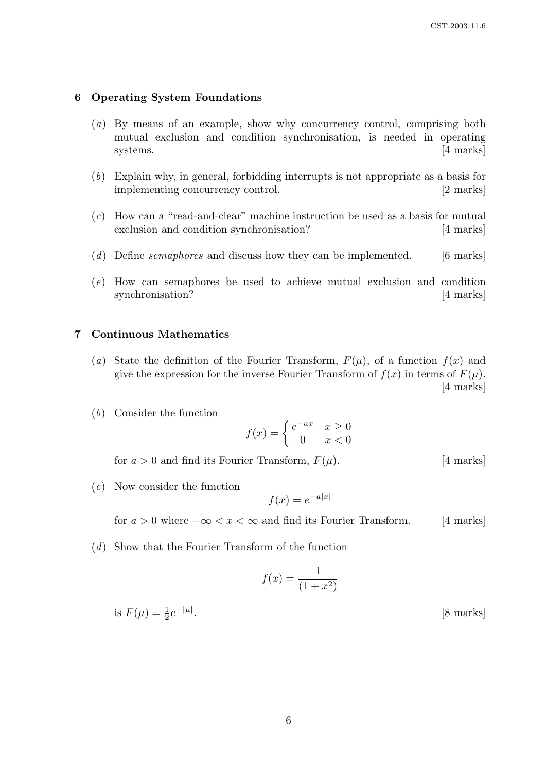#### 6 Operating System Foundations

- (a) By means of an example, show why concurrency control, comprising both mutual exclusion and condition synchronisation, is needed in operating systems.  $[4 \text{ marks}]$
- (b) Explain why, in general, forbidding interrupts is not appropriate as a basis for implementing concurrency control. [2 marks]
- (c) How can a "read-and-clear" machine instruction be used as a basis for mutual exclusion and condition synchronisation? [4 marks]
- (d) Define semaphores and discuss how they can be implemented.  $[6 \text{ marks}]$
- (e) How can semaphores be used to achieve mutual exclusion and condition synchronisation? [4 marks]

#### 7 Continuous Mathematics

- (a) State the definition of the Fourier Transform,  $F(\mu)$ , of a function  $f(x)$  and give the expression for the inverse Fourier Transform of  $f(x)$  in terms of  $F(\mu)$ . [4 marks]
- (b) Consider the function

$$
f(x) = \begin{cases} e^{-ax} & x \ge 0 \\ 0 & x < 0 \end{cases}
$$

for  $a > 0$  and find its Fourier Transform,  $F(\mu)$ . [4 marks]

(c) Now consider the function

$$
f(x) = e^{-a|x|}
$$

for  $a > 0$  where  $-\infty < x < \infty$  and find its Fourier Transform. [4 marks]

(d) Show that the Fourier Transform of the function

$$
f(x) = \frac{1}{(1+x^2)}
$$

is  $F(\mu) = \frac{1}{2}e^{-|\mu|}$ . [8 marks]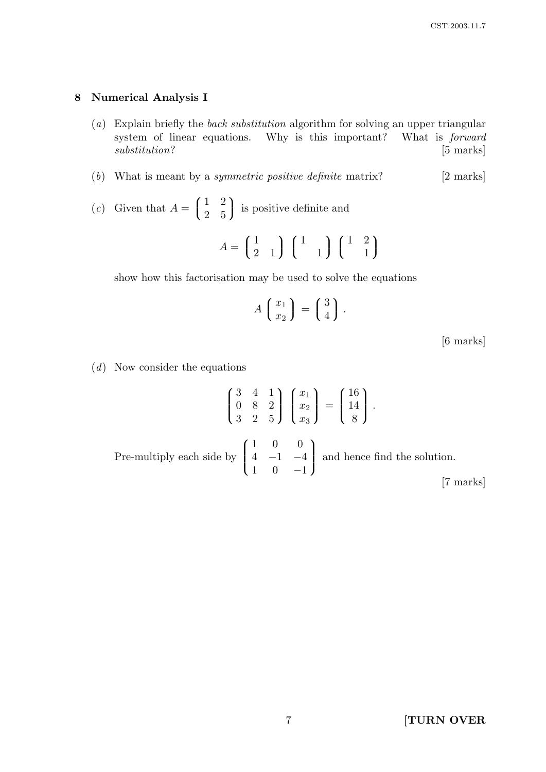## 8 Numerical Analysis I

- (a) Explain briefly the back substitution algorithm for solving an upper triangular system of linear equations. Why is this important? What is forward substitution? [5 marks]
- (b) What is meant by a *symmetric positive definite* matrix?  $[2 \text{ marks}]$
- (c) Given that  $A = \left( \begin{array}{cc} \end{array} \right)$  $\mathcal{L}$ 1 2 2 5 is positive definite and

$$
A = \begin{pmatrix} 1 & 1 \\ 2 & 1 \end{pmatrix} \begin{pmatrix} 1 & 1 \\ 1 & 1 \end{pmatrix} \begin{pmatrix} 1 & 2 \\ 1 & 1 \end{pmatrix}
$$

show how this factorisation may be used to solve the equations

$$
A\left(\begin{array}{c}x_1\\x_2\end{array}\right)=\left(\begin{array}{c}3\\4\end{array}\right).
$$

[6 marks]

 $(d)$  Now consider the equations

$$
\begin{pmatrix} 3 & 4 & 1 \ 0 & 8 & 2 \ 3 & 2 & 5 \end{pmatrix} \begin{pmatrix} x_1 \ x_2 \ x_3 \end{pmatrix} = \begin{pmatrix} 16 \ 14 \ 8 \end{pmatrix}.
$$
  
Pre-multiply each side by 
$$
\begin{pmatrix} 1 & 0 & 0 \ 4 & -1 & -4 \ 1 & 0 & -1 \end{pmatrix}
$$
 and hence find the solution. [7 marks]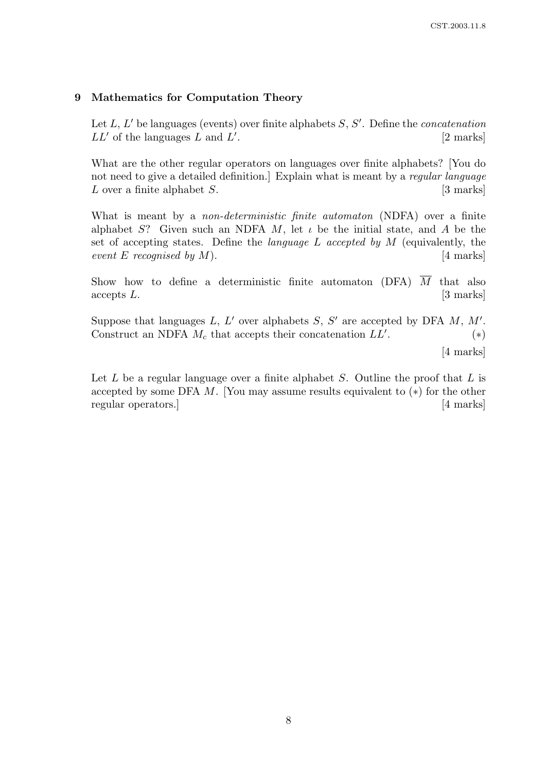## 9 Mathematics for Computation Theory

Let  $L, L'$  be languages (events) over finite alphabets  $S, S'$ . Define the *concatenation*  $LL'$  of the languages L and  $L'$ . [2 marks]

What are the other regular operators on languages over finite alphabets? [You do not need to give a detailed definition. Explain what is meant by a regular language L over a finite alphabet  $S$ . [3 marks]

What is meant by a *non-deterministic finite automaton* (NDFA) over a finite alphabet S? Given such an NDFA M, let  $\iota$  be the initial state, and A be the set of accepting states. Define the *language L accepted by M* (equivalently, the event E recognised by  $M$ ). [4 marks]

Show how to define a deterministic finite automaton (DFA)  $\overline{M}$  that also accepts L. [3 marks]

Suppose that languages L, L' over alphabets S, S' are accepted by DFA  $M$ , M'. Construct an NDFA  $M_c$  that accepts their concatenation  $LL'$ . . (∗)

[4 marks]

Let  $L$  be a regular language over a finite alphabet  $S$ . Outline the proof that  $L$  is accepted by some DFA  $M$ . [You may assume results equivalent to  $(*)$  for the other regular operators.] [4 marks]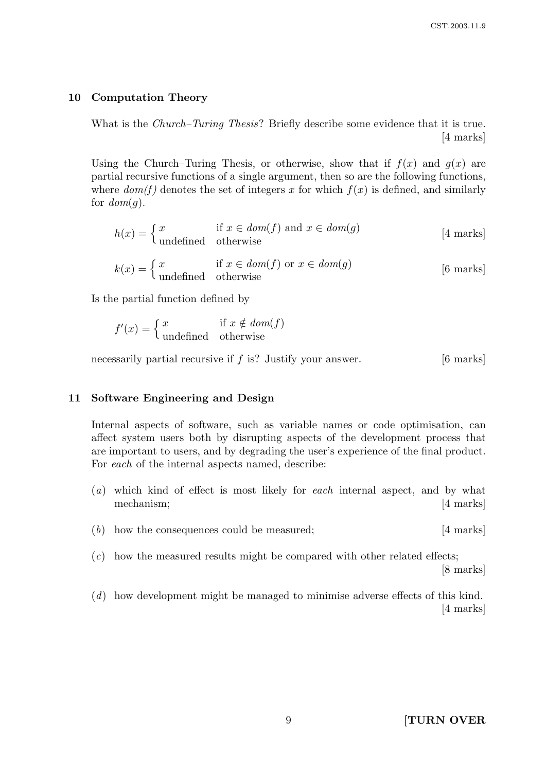## 10 Computation Theory

What is the *Church–Turing Thesis*? Briefly describe some evidence that it is true. [4 marks]

Using the Church–Turing Thesis, or otherwise, show that if  $f(x)$  and  $g(x)$  are partial recursive functions of a single argument, then so are the following functions, where  $dom(f)$  denotes the set of integers x for which  $f(x)$  is defined, and similarly for  $dom(q)$ .

$$
h(x) = \begin{cases} x & \text{if } x \in \text{dom}(f) \text{ and } x \in \text{dom}(g) \\ \text{undefined} & \text{otherwise} \end{cases}
$$
 [4 marks]

$$
k(x) = \begin{cases} x & \text{if } x \in \text{dom}(f) \text{ or } x \in \text{dom}(g) \\ \text{undefined} & \text{otherwise} \end{cases}
$$
 [6 marks]

Is the partial function defined by

$$
f'(x) = \begin{cases} x & \text{if } x \notin \text{dom}(f) \\ \text{undefined} & \text{otherwise} \end{cases}
$$

necessarily partial recursive if  $f$  is? Justify your answer. [6 marks]

#### 11 Software Engineering and Design

Internal aspects of software, such as variable names or code optimisation, can affect system users both by disrupting aspects of the development process that are important to users, and by degrading the user's experience of the final product. For each of the internal aspects named, describe:

- (a) which kind of effect is most likely for each internal aspect, and by what mechanism; [4 marks]
- (b) how the consequences could be measured; [4 marks]
- $(c)$  how the measured results might be compared with other related effects; [8 marks]
- (d) how development might be managed to minimise adverse effects of this kind. [4 marks]